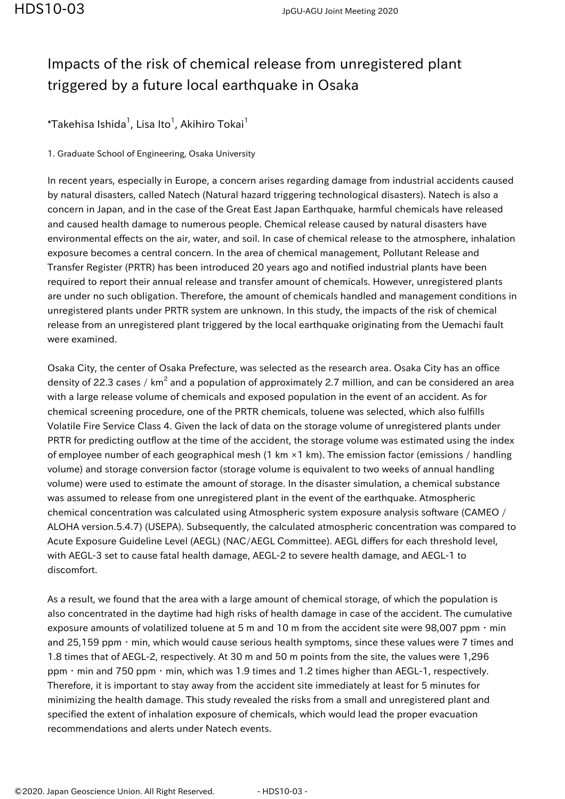## Impacts of the risk of chemical release from unregistered plant triggered by a future local earthquake in Osaka

 $^*$ Takehisa Ishida $^1$ , Lisa Ito $^1$ , Akihiro Tokai $^1$ 

1. Graduate School of Engineering, Osaka University

In recent years, especially in Europe, a concern arises regarding damage from industrial accidents caused by natural disasters, called Natech (Natural hazard triggering technological disasters). Natech is also a concern in Japan, and in the case of the Great East Japan Earthquake, harmful chemicals have released and caused health damage to numerous people. Chemical release caused by natural disasters have environmental effects on the air, water, and soil. In case of chemical release to the atmosphere, inhalation exposure becomes a central concern. In the area of chemical management, Pollutant Release and Transfer Register (PRTR) has been introduced 20 years ago and notified industrial plants have been required to report their annual release and transfer amount of chemicals. However, unregistered plants are under no such obligation. Therefore, the amount of chemicals handled and management conditions in unregistered plants under PRTR system are unknown. In this study, the impacts of the risk of chemical release from an unregistered plant triggered by the local earthquake originating from the Uemachi fault were examined.

Osaka City, the center of Osaka Prefecture, was selected as the research area. Osaka City has an office density of 22.3 cases / km $^2$  and a population of approximately 2.7 million, and can be considered an area with a large release volume of chemicals and exposed population in the event of an accident. As for chemical screening procedure, one of the PRTR chemicals, toluene was selected, which also fulfills Volatile Fire Service Class 4. Given the lack of data on the storage volume of unregistered plants under PRTR for predicting outflow at the time of the accident, the storage volume was estimated using the index of employee number of each geographical mesh (1 km ×1 km). The emission factor (emissions / handling volume) and storage conversion factor (storage volume is equivalent to two weeks of annual handling volume) were used to estimate the amount of storage. In the disaster simulation, a chemical substance was assumed to release from one unregistered plant in the event of the earthquake. Atmospheric chemical concentration was calculated using Atmospheric system exposure analysis software (CAMEO / ALOHA version.5.4.7) (USEPA). Subsequently, the calculated atmospheric concentration was compared to Acute Exposure Guideline Level (AEGL) (NAC/AEGL Committee). AEGL differs for each threshold level, with AEGL-3 set to cause fatal health damage, AEGL-2 to severe health damage, and AEGL-1 to discomfort.

As a result, we found that the area with a large amount of chemical storage, of which the population is also concentrated in the daytime had high risks of health damage in case of the accident. The cumulative exposure amounts of volatilized toluene at 5 m and 10 m from the accident site were 98,007 ppm  $\cdot$  min and 25,159 ppm · min, which would cause serious health symptoms, since these values were 7 times and 1.8 times that of AEGL-2, respectively. At 30 m and 50 m points from the site, the values were 1,296 ppm・min and 750 ppm・min, which was 1.9 times and 1.2 times higher than AEGL-1, respectively. Therefore, it is important to stay away from the accident site immediately at least for 5 minutes for minimizing the health damage. This study revealed the risks from a small and unregistered plant and specified the extent of inhalation exposure of chemicals, which would lead the proper evacuation recommendations and alerts under Natech events.